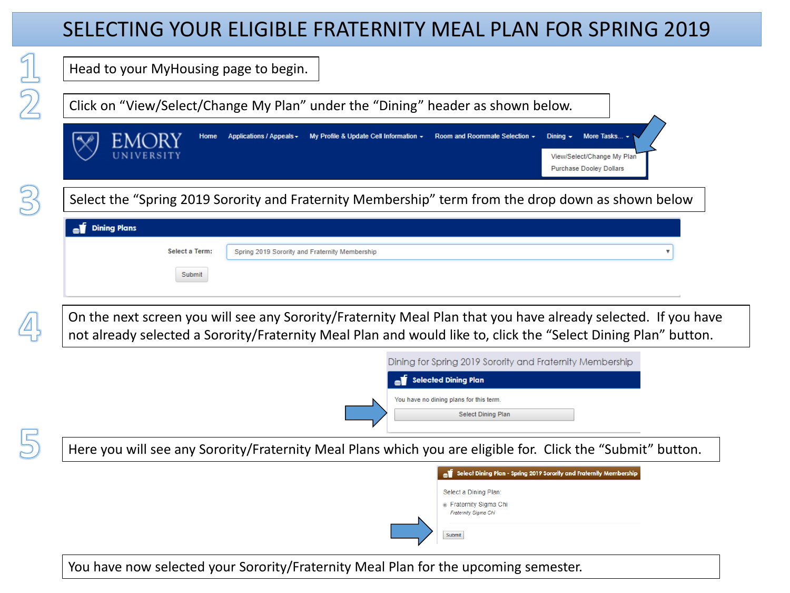## SELECTING YOUR ELIGIBLE FRATERNITY MEAL PLAN FOR SPRING 2019

| Head to your MyHousing page to begin.                                                                                                                                                                                                     |
|-------------------------------------------------------------------------------------------------------------------------------------------------------------------------------------------------------------------------------------------|
| Click on "View/Select/Change My Plan" under the "Dining" header as shown below.                                                                                                                                                           |
| My Profile & Update Cell Information - Room and Roommate Selection -<br>More Tasks<br>Dining $\sim$<br>Applications / Appeals -<br>Home<br>View/Select/Change My Plan<br><b>Purchase Dooley Dollars</b>                                   |
| Select the "Spring 2019 Sorority and Fraternity Membership" term from the drop down as shown below                                                                                                                                        |
| <b>Dining Plans</b>                                                                                                                                                                                                                       |
| Select a Term:<br>Spring 2019 Sorority and Fraternity Membership<br>Submit                                                                                                                                                                |
|                                                                                                                                                                                                                                           |
|                                                                                                                                                                                                                                           |
| Dining for Spring 2019 Sorority and Fraternity Membership                                                                                                                                                                                 |
| <b>Selected Dining Plan</b>                                                                                                                                                                                                               |
| You have no dining plans for this term.<br><b>Select Dining Plan</b>                                                                                                                                                                      |
|                                                                                                                                                                                                                                           |
| Here you will see any Sorority/Fraternity Meal Plans which you are eligible for. Click the "Submit" button.<br>Select Dining Plan - Spring 2019 Sorority and Fraternity Membership                                                        |
| Select a Dining Plan:                                                                                                                                                                                                                     |
| ● Fraternity Sigma Chi<br>Fraternity Sigma Chi                                                                                                                                                                                            |
| On the next screen you will see any Sorority/Fraternity Meal Plan that you have already selected. If you have<br>not already selected a Sorority/Fraternity Meal Plan and would like to, click the "Select Dining Plan" button.<br>Submit |

You have now selected your Sorority/Fraternity Meal Plan for the upcoming semester.